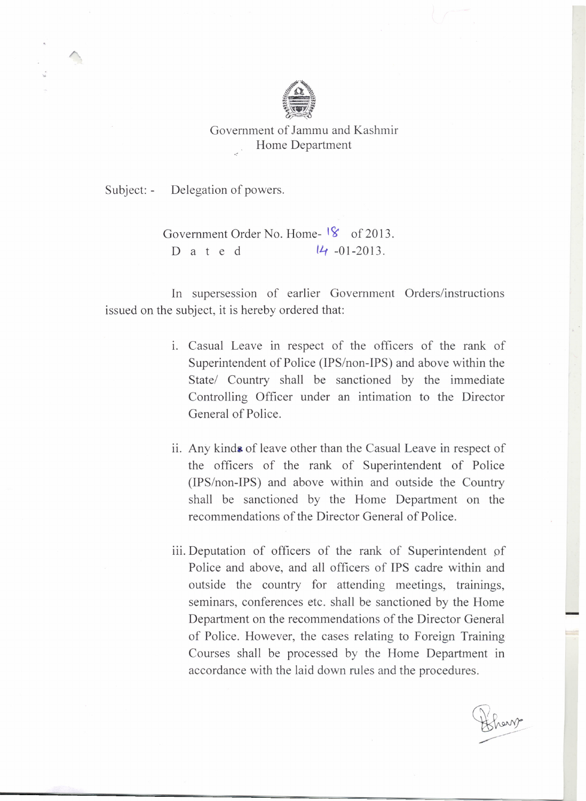

Government of Jammu and Kashmir Home Department

Subject: - Delegation of powers.

Government Order No. Home- <sup>18</sup> of 2013. D a t e d  $14 - 01 - 2013$ .

In supersession of earlier Government Orders/instructions issued on the subject, it is hereby ordered that:

- 1. Casual Leave in respect of the officers of the rank of Superintendent of Police (IPS/non-IPS) and above within the State/ Country shall be sanctioned by the immediate Controlling Officer under an intimation to the Director General of Police.
- ii. Any kinds of leave other than the Casual Leave in respect of the officers of the rank of Superintendent of Police (IPS/non-IPS) and above within and outside the Country shall be sanctioned by the Home Department on the recommendations of the Director General of Police.
- iii. Deputation of officers of the rank of Superintendent of Police and above, and all officers of IPS cadre within and outside the country for attending meetings, trainings, seminars, conferences etc. shall be sanctioned by the Home Department on the recommendations of the Director General of Police. However, the cases relating to Foreign Training Courses shall be processed by the Home Department in accordance with the laid down rules and the procedures.